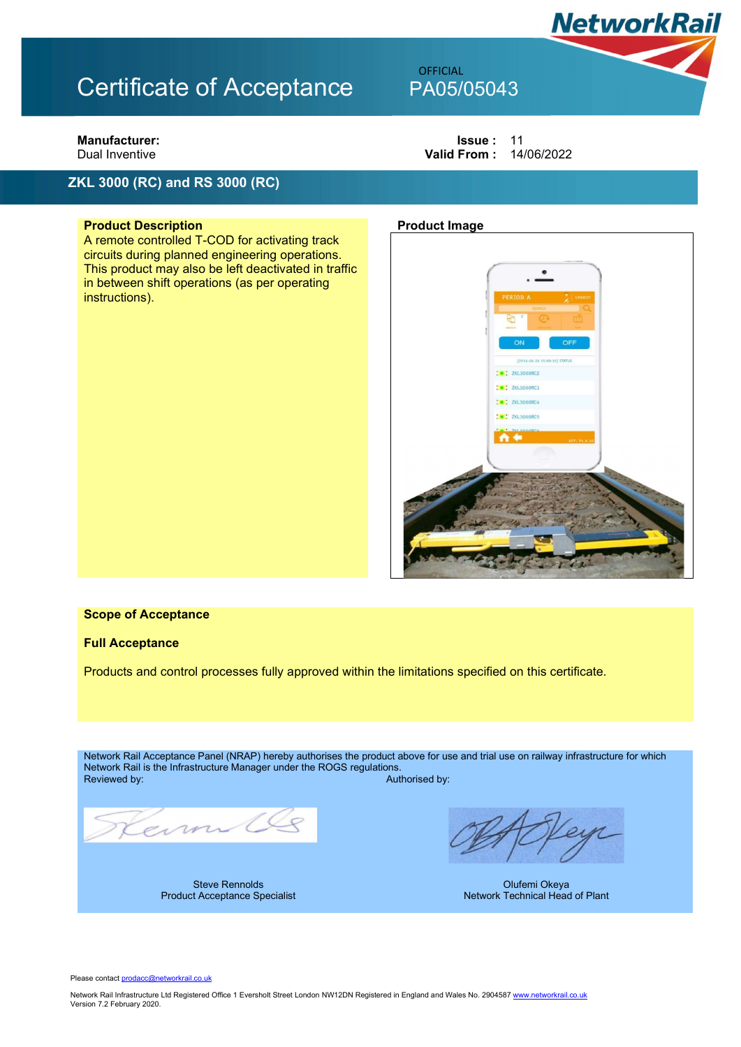### ZKL 3000 (RC) and RS 3000 (RC)

### **Product Description Product Image Product Image**

A remote controlled T-COD for activating track circuits during planned engineering operations. This product may also be left deactivated in traffic in between shift operations (as per operating instructions).

**Manufacturer:** In the set of the set of the set of the set of the set of the set of the set of the set of the set of the set of the set of the set of the set of the set of the set of the set of the set of the set of the s Dual Inventive **Valid From : 14/06/2022** 

**NetworkRail** 

**OFFICIAL** 



#### Scope of Acceptance

### Full Acceptance

Products and control processes fully approved within the limitations specified on this certificate.

Network Rail Acceptance Panel (NRAP) hereby authorises the product above for use and trial use on railway infrastructure for which Network Rail is the Infrastructure Manager under the ROGS regulations. Authorised by:

ein

Steve Rennolds Product Acceptance Specialist

Olufemi Okeya Network Technical Head of Plant

Please contact prodacc@networkrail.co.uk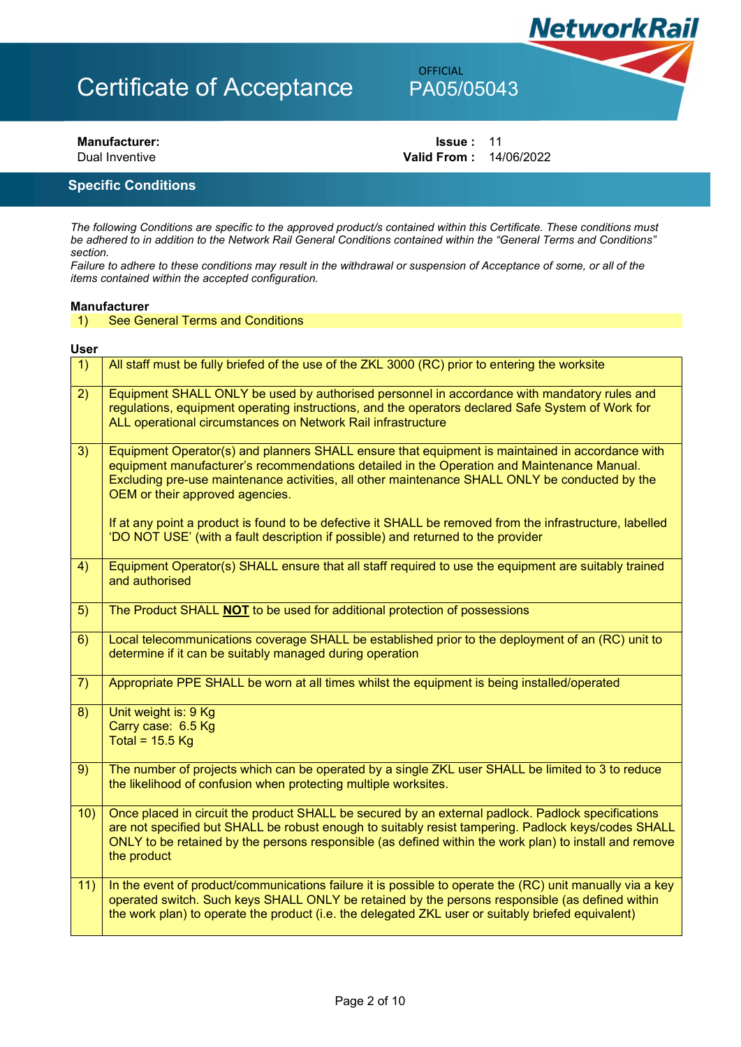## OFFICIAL

Manufacturer: Internal Solution of the United States of the United States in the United States of the United St<br>
Issue : 11<br>
Dual Inventive Contract Contract of the United States of the United States of the United States o Valid From : 14/06/2022

**NetworkRail** 

### Specific Conditions

The following Conditions are specific to the approved product/s contained within this Certificate. These conditions must be adhered to in addition to the Network Rail General Conditions contained within the "General Terms and Conditions" section.

Failure to adhere to these conditions may result in the withdrawal or suspension of Acceptance of some, or all of the items contained within the accepted configuration.

### Manufacturer<br>1) See Ge

### **See General Terms and Conditions**

### User

| 1)  | All staff must be fully briefed of the use of the ZKL 3000 (RC) prior to entering the worksite                                                                                                                                                                                                                                     |
|-----|------------------------------------------------------------------------------------------------------------------------------------------------------------------------------------------------------------------------------------------------------------------------------------------------------------------------------------|
| 2)  | Equipment SHALL ONLY be used by authorised personnel in accordance with mandatory rules and<br>regulations, equipment operating instructions, and the operators declared Safe System of Work for<br>ALL operational circumstances on Network Rail infrastructure                                                                   |
| 3)  | Equipment Operator(s) and planners SHALL ensure that equipment is maintained in accordance with<br>equipment manufacturer's recommendations detailed in the Operation and Maintenance Manual.<br>Excluding pre-use maintenance activities, all other maintenance SHALL ONLY be conducted by the<br>OEM or their approved agencies. |
|     | If at any point a product is found to be defective it SHALL be removed from the infrastructure, labelled<br>'DO NOT USE' (with a fault description if possible) and returned to the provider                                                                                                                                       |
| 4)  | Equipment Operator(s) SHALL ensure that all staff required to use the equipment are suitably trained<br>and authorised                                                                                                                                                                                                             |
| 5)  | The Product SHALL NOT to be used for additional protection of possessions                                                                                                                                                                                                                                                          |
| 6)  | Local telecommunications coverage SHALL be established prior to the deployment of an (RC) unit to<br>determine if it can be suitably managed during operation                                                                                                                                                                      |
| 7)  | Appropriate PPE SHALL be worn at all times whilst the equipment is being installed/operated                                                                                                                                                                                                                                        |
| 8)  | Unit weight is: 9 Kg<br>Carry case: 6.5 Kg<br>Total = $15.5$ Kg                                                                                                                                                                                                                                                                    |
| 9)  | The number of projects which can be operated by a single ZKL user SHALL be limited to 3 to reduce<br>the likelihood of confusion when protecting multiple worksites.                                                                                                                                                               |
| 10) | Once placed in circuit the product SHALL be secured by an external padlock. Padlock specifications<br>are not specified but SHALL be robust enough to suitably resist tampering. Padlock keys/codes SHALL<br>ONLY to be retained by the persons responsible (as defined within the work plan) to install and remove<br>the product |
| 11) | In the event of product/communications failure it is possible to operate the (RC) unit manually via a key<br>operated switch. Such keys SHALL ONLY be retained by the persons responsible (as defined within<br>the work plan) to operate the product (i.e. the delegated ZKL user or suitably briefed equivalent)                 |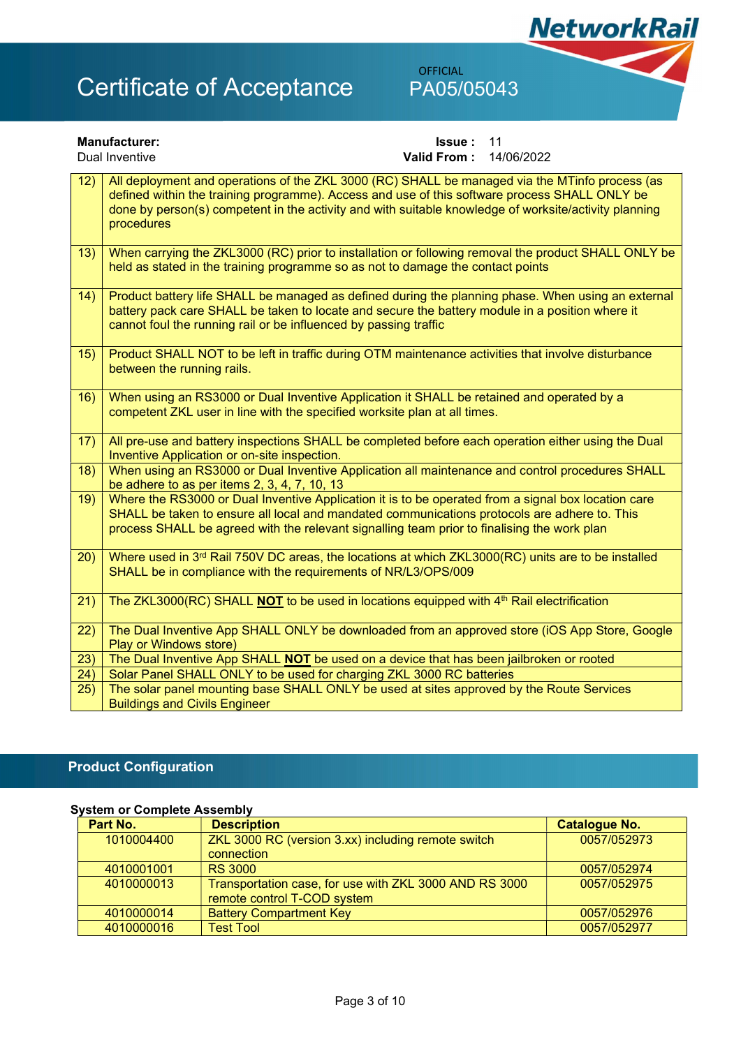## OFFICIAL

**NetworkRail** 

|                 | <b>Manufacturer:</b><br>11<br><b>Issue:</b>                                                                                                                                                                                                                                                                            |
|-----------------|------------------------------------------------------------------------------------------------------------------------------------------------------------------------------------------------------------------------------------------------------------------------------------------------------------------------|
|                 | Dual Inventive<br><b>Valid From:</b><br>14/06/2022                                                                                                                                                                                                                                                                     |
| 12)             | All deployment and operations of the ZKL 3000 (RC) SHALL be managed via the MTinfo process (as<br>defined within the training programme). Access and use of this software process SHALL ONLY be<br>done by person(s) competent in the activity and with suitable knowledge of worksite/activity planning<br>procedures |
| 13)             | When carrying the ZKL3000 (RC) prior to installation or following removal the product SHALL ONLY be<br>held as stated in the training programme so as not to damage the contact points                                                                                                                                 |
| 14)             | Product battery life SHALL be managed as defined during the planning phase. When using an external<br>battery pack care SHALL be taken to locate and secure the battery module in a position where it<br>cannot foul the running rail or be influenced by passing traffic                                              |
| 15)             | Product SHALL NOT to be left in traffic during OTM maintenance activities that involve disturbance<br>between the running rails.                                                                                                                                                                                       |
| 16)             | When using an RS3000 or Dual Inventive Application it SHALL be retained and operated by a<br>competent ZKL user in line with the specified worksite plan at all times.                                                                                                                                                 |
| 17)             | All pre-use and battery inspections SHALL be completed before each operation either using the Dual<br>Inventive Application or on-site inspection.                                                                                                                                                                     |
| 18)             | When using an RS3000 or Dual Inventive Application all maintenance and control procedures SHALL<br>be adhere to as per items 2, 3, 4, 7, 10, 13                                                                                                                                                                        |
| 19)             | Where the RS3000 or Dual Inventive Application it is to be operated from a signal box location care<br>SHALL be taken to ensure all local and mandated communications protocols are adhere to. This<br>process SHALL be agreed with the relevant signalling team prior to finalising the work plan                     |
| 20)             | Where used in 3 <sup>rd</sup> Rail 750V DC areas, the locations at which ZKL3000(RC) units are to be installed<br>SHALL be in compliance with the requirements of NR/L3/OPS/009                                                                                                                                        |
| $\overline{21}$ | The ZKL3000(RC) SHALL <b>NOT</b> to be used in locations equipped with 4 <sup>th</sup> Rail electrification                                                                                                                                                                                                            |
| 22)             | The Dual Inventive App SHALL ONLY be downloaded from an approved store (iOS App Store, Google<br>Play or Windows store)                                                                                                                                                                                                |
| 23)             | The Dual Inventive App SHALL <b>NOT</b> be used on a device that has been jailbroken or rooted                                                                                                                                                                                                                         |
| 24)             | Solar Panel SHALL ONLY to be used for charging ZKL 3000 RC batteries                                                                                                                                                                                                                                                   |
| 25)             | The solar panel mounting base SHALL ONLY be used at sites approved by the Route Services<br><b>Buildings and Civils Engineer</b>                                                                                                                                                                                       |

### Product Configuration

### System or Complete Assembly

| Part No.<br><b>Description</b> |                                                        | <b>Catalogue No.</b> |
|--------------------------------|--------------------------------------------------------|----------------------|
| 1010004400                     | ZKL 3000 RC (version 3.xx) including remote switch     | 0057/052973          |
|                                | connection                                             |                      |
| 4010001001                     | <b>RS 3000</b>                                         | 0057/052974          |
| 4010000013                     | Transportation case, for use with ZKL 3000 AND RS 3000 | 0057/052975          |
|                                | remote control T-COD system                            |                      |
| 4010000014                     | <b>Battery Compartment Key</b>                         | 0057/052976          |
| 4010000016                     | <b>Test Tool</b>                                       | 0057/052977          |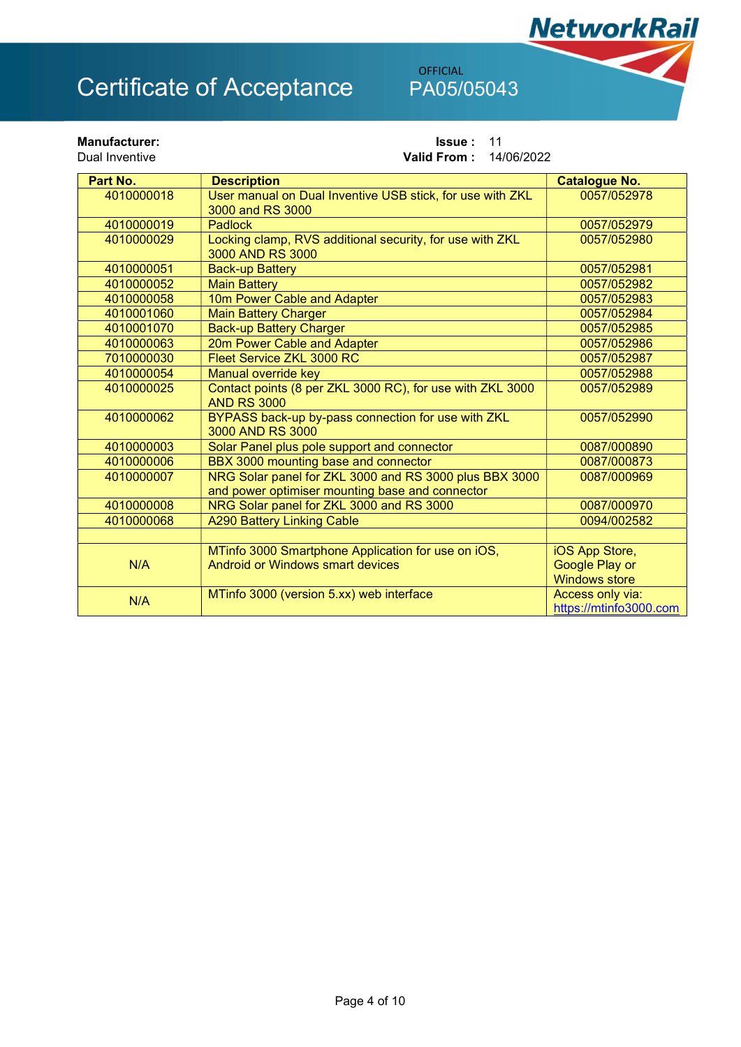OFFICIAL

**NetworkRail** 

| <b>Manufacturer:</b><br>Dual Inventive |            | 11<br><b>Issue:</b><br><b>Valid From:</b><br>14/06/2022                                                   |                                                          |
|----------------------------------------|------------|-----------------------------------------------------------------------------------------------------------|----------------------------------------------------------|
|                                        | Part No.   | <b>Description</b>                                                                                        | <b>Catalogue No.</b>                                     |
|                                        | 4010000018 | User manual on Dual Inventive USB stick, for use with ZKL<br>3000 and RS 3000                             | 0057/052978                                              |
|                                        | 4010000019 | <b>Padlock</b>                                                                                            | 0057/052979                                              |
|                                        | 4010000029 | Locking clamp, RVS additional security, for use with ZKL<br>3000 AND RS 3000                              | 0057/052980                                              |
|                                        | 4010000051 | <b>Back-up Battery</b>                                                                                    | 0057/052981                                              |
|                                        | 4010000052 | <b>Main Battery</b>                                                                                       | 0057/052982                                              |
|                                        | 4010000058 | 10m Power Cable and Adapter                                                                               | 0057/052983                                              |
|                                        | 4010001060 | <b>Main Battery Charger</b>                                                                               | 0057/052984                                              |
|                                        | 4010001070 | <b>Back-up Battery Charger</b>                                                                            | 0057/052985                                              |
|                                        | 4010000063 | 20m Power Cable and Adapter                                                                               | 0057/052986                                              |
|                                        | 7010000030 | Fleet Service ZKL 3000 RC                                                                                 | 0057/052987                                              |
|                                        | 4010000054 | Manual override key                                                                                       | 0057/052988                                              |
|                                        | 4010000025 | Contact points (8 per ZKL 3000 RC), for use with ZKL 3000<br><b>AND RS 3000</b>                           | 0057/052989                                              |
|                                        | 4010000062 | BYPASS back-up by-pass connection for use with ZKL<br>3000 AND RS 3000                                    | 0057/052990                                              |
|                                        | 4010000003 | Solar Panel plus pole support and connector                                                               | 0087/000890                                              |
|                                        | 4010000006 | BBX 3000 mounting base and connector                                                                      | 0087/000873                                              |
|                                        | 4010000007 | NRG Solar panel for ZKL 3000 and RS 3000 plus BBX 3000<br>and power optimiser mounting base and connector | 0087/000969                                              |
|                                        | 4010000008 | NRG Solar panel for ZKL 3000 and RS 3000                                                                  | 0087/000970                                              |
|                                        | 4010000068 | <b>A290 Battery Linking Cable</b>                                                                         | 0094/002582                                              |
|                                        | N/A        | MTinfo 3000 Smartphone Application for use on iOS,<br>Android or Windows smart devices                    | iOS App Store,<br>Google Play or<br><b>Windows store</b> |
|                                        | N/A        | MTinfo 3000 (version 5.xx) web interface                                                                  | Access only via:<br>https://mtinfo3000.com               |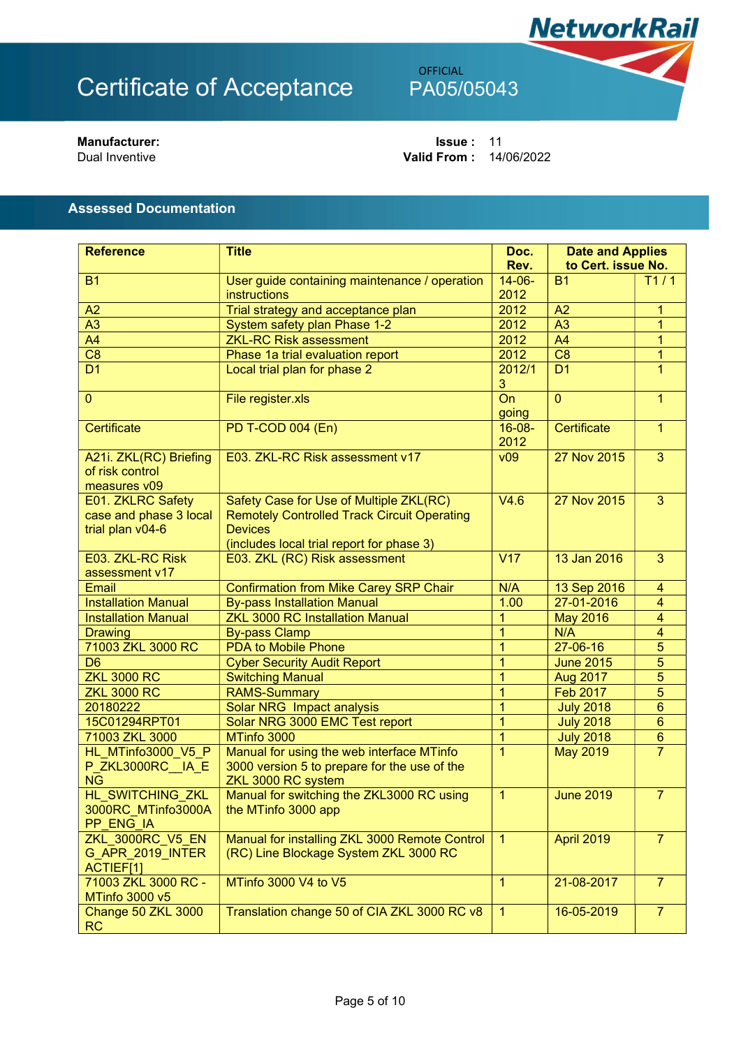## OFFICIAL

Manufacturer: Issue : 11 Valid From : 14/06/2022

**NetworkRail** 

Assessed Documentation

| <b>Reference</b>                                                               | <b>Title</b>                                                                                                                                                 | Doc.                | <b>Date and Applies</b> |                         |
|--------------------------------------------------------------------------------|--------------------------------------------------------------------------------------------------------------------------------------------------------------|---------------------|-------------------------|-------------------------|
|                                                                                |                                                                                                                                                              | Rev.                | to Cert. issue No.      |                         |
| <b>B1</b>                                                                      | User guide containing maintenance / operation                                                                                                                | $14 - 06 -$         | <b>B1</b>               | T1/1                    |
|                                                                                | instructions                                                                                                                                                 | 2012                |                         |                         |
| A2                                                                             | Trial strategy and acceptance plan                                                                                                                           | 2012                | A2                      | 1                       |
| A3                                                                             | System safety plan Phase 1-2                                                                                                                                 | 2012                | A3                      | 1                       |
| A <sub>4</sub>                                                                 | <b>ZKL-RC Risk assessment</b>                                                                                                                                | 2012<br>2012        | $\overline{A4}$         | 1                       |
| $\overline{C8}$                                                                | Phase 1a trial evaluation report                                                                                                                             |                     | $\overline{C8}$         | 1                       |
| D <sub>1</sub>                                                                 | Local trial plan for phase 2                                                                                                                                 | 2012/1<br>3         | D <sub>1</sub>          | 1                       |
| $\overline{0}$                                                                 | File register.xls                                                                                                                                            | On<br>going         | $\overline{0}$          | 1                       |
| Certificate                                                                    | <b>PD T-COD 004 (En)</b>                                                                                                                                     | $16 - 08 -$<br>2012 | Certificate             | $\mathbf{1}$            |
| A21i. ZKL(RC) Briefing<br>of risk control<br>measures v09                      | E03. ZKL-RC Risk assessment v17                                                                                                                              | v09                 | 27 Nov 2015             | $\overline{3}$          |
| E01. ZKLRC Safety<br>case and phase 3 local<br>trial plan v04-6                | Safety Case for Use of Multiple ZKL(RC)<br><b>Remotely Controlled Track Circuit Operating</b><br><b>Devices</b><br>(includes local trial report for phase 3) | V4.6                | 27 Nov 2015             | 3                       |
| E03. ZKL-RC Risk<br>assessment v17                                             | E03. ZKL (RC) Risk assessment                                                                                                                                | V17                 | 13 Jan 2016             | 3                       |
| Email                                                                          | <b>Confirmation from Mike Carey SRP Chair</b>                                                                                                                | N/A                 | 13 Sep 2016             | $\overline{4}$          |
| <b>Installation Manual</b>                                                     | <b>By-pass Installation Manual</b>                                                                                                                           | 1.00                | 27-01-2016              | $\overline{4}$          |
| <b>Installation Manual</b>                                                     | <b>ZKL 3000 RC Installation Manual</b>                                                                                                                       | 1                   | <b>May 2016</b>         | $\overline{\mathbf{4}}$ |
| <b>Drawing</b>                                                                 | <b>By-pass Clamp</b>                                                                                                                                         | $\overline{1}$      | N/A                     | $\overline{4}$          |
| 71003 ZKL 3000 RC                                                              | <b>PDA to Mobile Phone</b>                                                                                                                                   | 1                   | 27-06-16                | 5                       |
| D <sub>6</sub>                                                                 | <b>Cyber Security Audit Report</b>                                                                                                                           | $\overline{1}$      | <b>June 2015</b>        | 5                       |
| <b>ZKL 3000 RC</b>                                                             | <b>Switching Manual</b>                                                                                                                                      | $\overline{1}$      | Aug 2017                | 5                       |
| <b>ZKL 3000 RC</b>                                                             | <b>RAMS-Summary</b>                                                                                                                                          | $\overline{1}$      | <b>Feb 2017</b>         | 5                       |
| 20180222                                                                       | Solar NRG Impact analysis                                                                                                                                    | 1                   | <b>July 2018</b>        | $6\phantom{1}$          |
| 15C01294RPT01                                                                  | Solar NRG 3000 EMC Test report                                                                                                                               | $\overline{1}$      | <b>July 2018</b>        | $6\phantom{1}$          |
| 71003 ZKL 3000                                                                 | MTinfo 3000                                                                                                                                                  | $\overline{1}$      | <b>July 2018</b>        | $\bf 6$                 |
| HL MTinfo3000 V5 P<br>P ZKL3000RC IA E<br><b>NG</b>                            | Manual for using the web interface MTinfo<br>3000 version 5 to prepare for the use of the<br>ZKL 3000 RC system                                              | 1                   | <b>May 2019</b>         | $\overline{7}$          |
| HL_SWITCHING_ZKL<br>3000RC_MTinfo3000A<br>PP ENG IA                            | Manual for switching the ZKL3000 RC using<br>the MTinfo 3000 app                                                                                             | $\mathbf{1}$        | <b>June 2019</b>        | $\overline{7}$          |
| <b>ZKL_3000RC_V5_EN</b><br>G_APR_2019_INTER<br>ACTIEF[1]                       | Manual for installing ZKL 3000 Remote Control<br>(RC) Line Blockage System ZKL 3000 RC                                                                       | $\mathbf{1}$        | <b>April 2019</b>       | $\overline{7}$          |
| 71003 ZKL 3000 RC -<br><b>MTinfo 3000 v5</b>                                   | MTinfo 3000 V4 to V5                                                                                                                                         | $\overline{1}$      | 21-08-2017              | $\overline{7}$          |
| Translation change 50 of CIA ZKL 3000 RC v8<br>Change 50 ZKL 3000<br><b>RC</b> |                                                                                                                                                              | $\overline{1}$      | 16-05-2019              | $\overline{7}$          |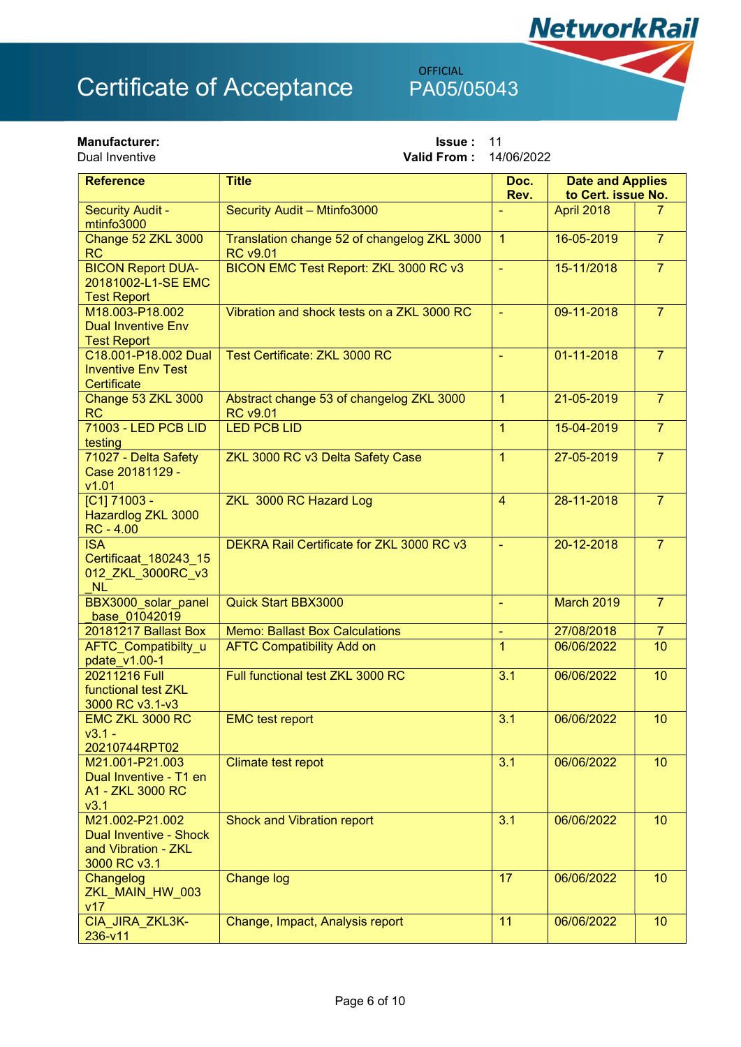OFFICIAL

**NetworkRail** 

| <b>Manufacturer:</b><br>Dual Inventive                                                  | <b>Issue:</b><br>11<br>14/06/2022<br>Valid From:               |                |                                               |                |
|-----------------------------------------------------------------------------------------|----------------------------------------------------------------|----------------|-----------------------------------------------|----------------|
| <b>Reference</b>                                                                        | <b>Title</b>                                                   | Doc.<br>Rev.   | <b>Date and Applies</b><br>to Cert. issue No. |                |
| <b>Security Audit -</b><br>mtinfo3000                                                   | Security Audit - Mtinfo3000                                    |                | April 2018                                    | 7.             |
| Change 52 ZKL 3000<br><b>RC</b>                                                         | Translation change 52 of changelog ZKL 3000<br><b>RC v9.01</b> | $\mathbf{1}$   | 16-05-2019                                    | $\overline{7}$ |
| <b>BICON Report DUA-</b><br>20181002-L1-SE EMC<br><b>Test Report</b>                    | BICON EMC Test Report: ZKL 3000 RC v3                          | $\blacksquare$ | 15-11/2018                                    | $\overline{7}$ |
| M18.003-P18.002<br><b>Dual Inventive Env</b><br><b>Test Report</b>                      | Vibration and shock tests on a ZKL 3000 RC                     | $\blacksquare$ | 09-11-2018                                    | $\overline{7}$ |
| C18.001-P18.002 Dual<br><b>Inventive Env Test</b><br>Certificate                        | Test Certificate: ZKL 3000 RC                                  | $\sim$         | 01-11-2018                                    | $\overline{7}$ |
| Change 53 ZKL 3000<br><b>RC</b>                                                         | Abstract change 53 of changelog ZKL 3000<br><b>RC v9.01</b>    | $\overline{1}$ | 21-05-2019                                    | $\overline{7}$ |
| 71003 - LED PCB LID<br>testing                                                          | <b>LED PCB LID</b>                                             | $\overline{1}$ | 15-04-2019                                    | $\overline{7}$ |
| 71027 - Delta Safety<br>Case 20181129 -<br>v1.01                                        | ZKL 3000 RC v3 Delta Safety Case                               | $\overline{1}$ | 27-05-2019                                    | $\overline{7}$ |
| [C1] 71003 -<br>Hazardlog ZKL 3000<br>$RC - 4.00$                                       | ZKL 3000 RC Hazard Log                                         | $\overline{4}$ | 28-11-2018                                    | $\overline{7}$ |
| <b>ISA</b><br>Certificaat 180243 15<br>012_ZKL_3000RC_v3<br><b>NL</b>                   | DEKRA Rail Certificate for ZKL 3000 RC v3                      | $\blacksquare$ | 20-12-2018                                    | $\overline{7}$ |
| BBX3000 solar panel<br>base 01042019                                                    | <b>Quick Start BBX3000</b>                                     | $\blacksquare$ | March 2019                                    | $\overline{7}$ |
| 20181217 Ballast Box                                                                    | <b>Memo: Ballast Box Calculations</b>                          | $\blacksquare$ | 27/08/2018                                    | $\overline{7}$ |
| AFTC_Compatibilty_u<br>pdate_v1.00-1                                                    | <b>AFTC Compatibility Add on</b>                               | $\overline{1}$ | 06/06/2022                                    | 10             |
| 20211216 Full<br>functional test ZKL<br>3000 RC v3.1-v3                                 | Full functional test ZKL 3000 RC                               | 3.1            | 06/06/2022                                    | 10             |
| EMC ZKL 3000 RC<br>$v3.1 -$<br>20210744RPT02                                            | <b>EMC</b> test report                                         | 3.1            | 06/06/2022                                    | 10             |
| M21.001-P21.003<br>Dual Inventive - T1 en<br>A1 - ZKL 3000 RC<br>v3.1                   | Climate test repot                                             | 3.1            | 06/06/2022                                    | 10             |
| M21.002-P21.002<br><b>Dual Inventive - Shock</b><br>and Vibration - ZKL<br>3000 RC v3.1 | <b>Shock and Vibration report</b>                              | 3.1            | 06/06/2022                                    | 10             |
| Changelog<br>ZKL_MAIN_HW_003<br>v17                                                     | <b>Change log</b>                                              | 17             | 06/06/2022                                    | 10             |
| CIA_JIRA_ZKL3K-<br>236-v11                                                              | Change, Impact, Analysis report                                | 11             | 06/06/2022                                    | 10             |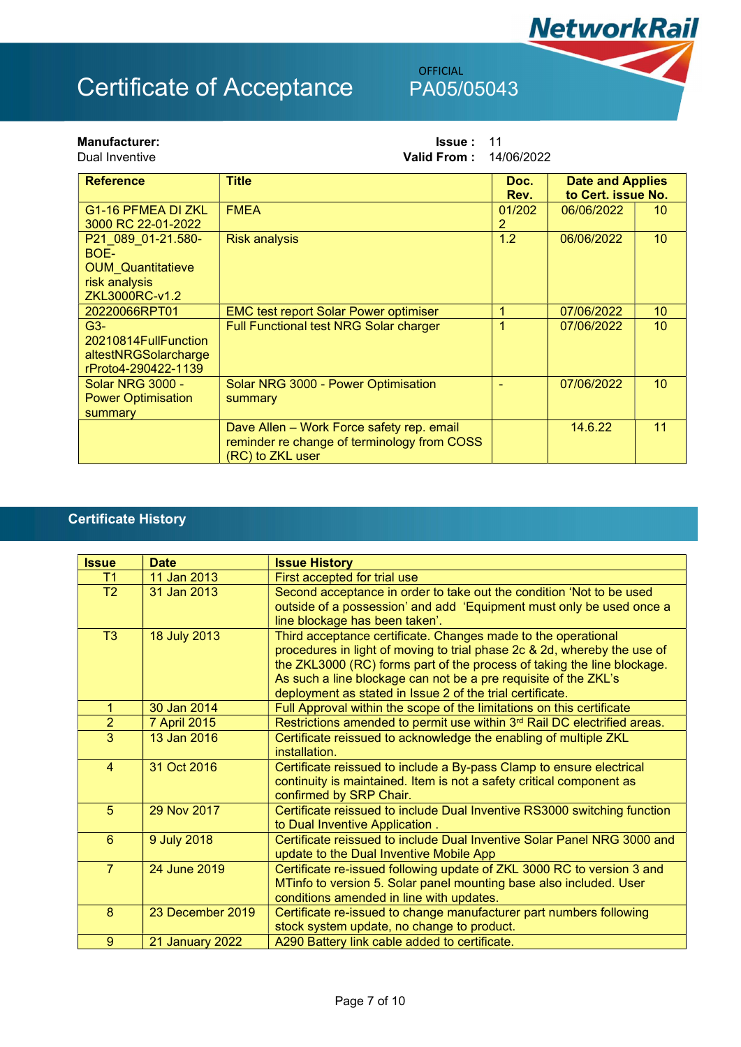## OFFICIAL

**NetworkRail** 

| <b>Manufacturer:</b><br>Dual Inventive                                                    | 11<br><b>Issue:</b><br><b>Valid From:</b><br>14/06/2022                                                      |                          |                                               |                 |
|-------------------------------------------------------------------------------------------|--------------------------------------------------------------------------------------------------------------|--------------------------|-----------------------------------------------|-----------------|
| <b>Reference</b>                                                                          | <b>Title</b>                                                                                                 | Doc.<br>Rev.             | <b>Date and Applies</b><br>to Cert. issue No. |                 |
| G <sub>1</sub> -16 PFMEA DI ZKL<br>3000 RC 22-01-2022                                     | <b>FMEA</b>                                                                                                  | 01/202<br>$\overline{2}$ | 06/06/2022                                    | 10 <sup>°</sup> |
| P21 089 01-21.580-<br>BOE-<br><b>OUM Quantitatieve</b><br>risk analysis<br>ZKL3000RC-v1.2 | <b>Risk analysis</b>                                                                                         | 1.2                      | 06/06/2022                                    | 10 <sup>°</sup> |
| 20220066RPT01                                                                             | <b>EMC test report Solar Power optimiser</b>                                                                 | 1                        | 07/06/2022                                    | 10 <sup>°</sup> |
| $G3-$<br>20210814FullFunction<br>altestNRGSolarcharge<br>rProto4-290422-1139              | Full Functional test NRG Solar charger                                                                       | 1                        | 07/06/2022                                    | 10 <sup>°</sup> |
| <b>Solar NRG 3000 -</b><br><b>Power Optimisation</b><br>summary                           | Solar NRG 3000 - Power Optimisation<br>summary                                                               |                          | 07/06/2022                                    | 10 <sup>°</sup> |
|                                                                                           | Dave Allen - Work Force safety rep. email<br>reminder re change of terminology from COSS<br>(RC) to ZKL user |                          | 14.6.22                                       | 11              |

### Certificate History

| <b>Issue</b>   | <b>Date</b>            | <b>Issue History</b>                                                                                                                                                                                                                                                                                                                                 |
|----------------|------------------------|------------------------------------------------------------------------------------------------------------------------------------------------------------------------------------------------------------------------------------------------------------------------------------------------------------------------------------------------------|
| T1             | 11 Jan 2013            | First accepted for trial use                                                                                                                                                                                                                                                                                                                         |
| T2             | 31 Jan 2013            | Second acceptance in order to take out the condition 'Not to be used<br>outside of a possession' and add 'Equipment must only be used once a<br>line blockage has been taken'.                                                                                                                                                                       |
| T <sub>3</sub> | 18 July 2013           | Third acceptance certificate. Changes made to the operational<br>procedures in light of moving to trial phase 2c & 2d, whereby the use of<br>the ZKL3000 (RC) forms part of the process of taking the line blockage.<br>As such a line blockage can not be a pre requisite of the ZKL's<br>deployment as stated in Issue 2 of the trial certificate. |
| 1.             | 30 Jan 2014            | Full Approval within the scope of the limitations on this certificate                                                                                                                                                                                                                                                                                |
| $\overline{2}$ | 7 April 2015           | Restrictions amended to permit use within 3rd Rail DC electrified areas.                                                                                                                                                                                                                                                                             |
| 3              | 13 Jan 2016            | Certificate reissued to acknowledge the enabling of multiple ZKL<br>installation.                                                                                                                                                                                                                                                                    |
| $\overline{4}$ | 31 Oct 2016            | Certificate reissued to include a By-pass Clamp to ensure electrical<br>continuity is maintained. Item is not a safety critical component as<br>confirmed by SRP Chair.                                                                                                                                                                              |
| 5              | 29 Nov 2017            | Certificate reissued to include Dual Inventive RS3000 switching function<br>to Dual Inventive Application.                                                                                                                                                                                                                                           |
| 6              | 9 July 2018            | Certificate reissued to include Dual Inventive Solar Panel NRG 3000 and<br>update to the Dual Inventive Mobile App                                                                                                                                                                                                                                   |
| $\overline{7}$ | 24 June 2019           | Certificate re-issued following update of ZKL 3000 RC to version 3 and<br>MTinfo to version 5. Solar panel mounting base also included. User<br>conditions amended in line with updates.                                                                                                                                                             |
| 8              | 23 December 2019       | Certificate re-issued to change manufacturer part numbers following<br>stock system update, no change to product.                                                                                                                                                                                                                                    |
| 9              | <b>21 January 2022</b> | A290 Battery link cable added to certificate.                                                                                                                                                                                                                                                                                                        |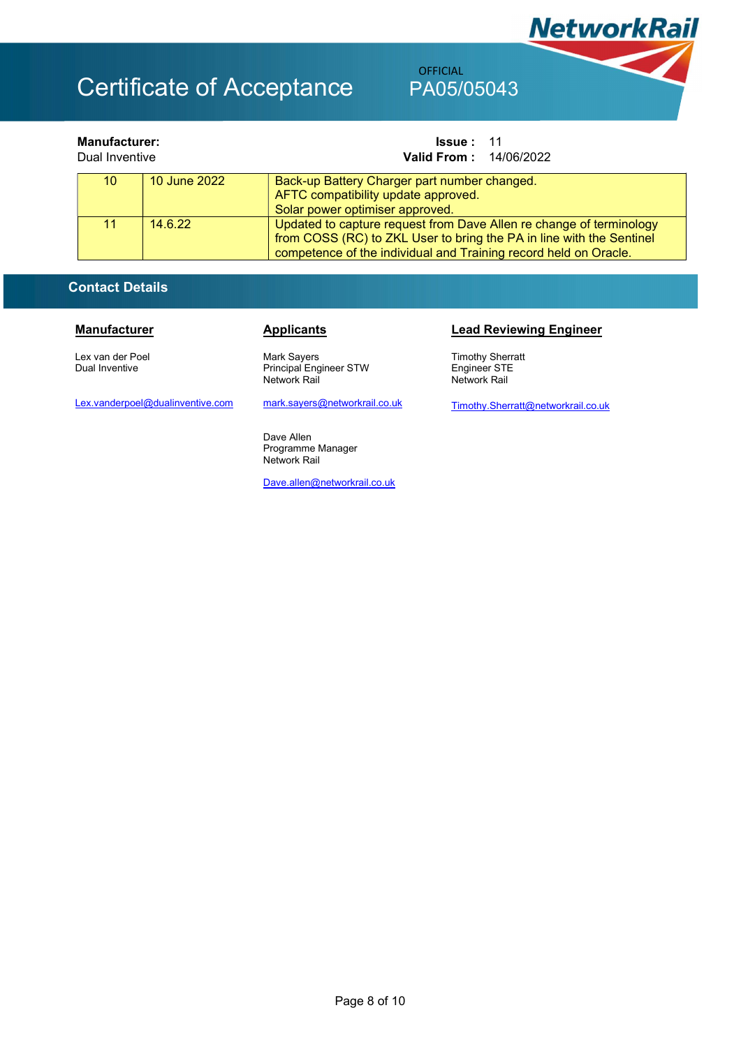## OFFICIAL

| <b>Manufacturer:</b><br>Dual Inventive |                 |              | <b>Issue: 11</b><br><b>Valid From: 14/06/2022</b>                                                                                                                                                               |
|----------------------------------------|-----------------|--------------|-----------------------------------------------------------------------------------------------------------------------------------------------------------------------------------------------------------------|
|                                        | 10 <sup>°</sup> | 10 June 2022 | Back-up Battery Charger part number changed.<br>AFTC compatibility update approved.<br>Solar power optimiser approved.                                                                                          |
|                                        | 11              | 14.6.22      | Updated to capture request from Dave Allen re change of terminology<br>from COSS (RC) to ZKL User to bring the PA in line with the Sentinel<br>competence of the individual and Training record held on Oracle. |

### Contact Details

Lex van der Poel Dual Inventive

Mark Sayers Principal Engineer STW Network Rail

Lex.vanderpoel@dualinventive.com

mark.sayers@networkrail.co.uk

Dave Allen Programme Manager Network Rail

Dave.allen@networkrail.co.uk

### Manufacturer **Applicants** Applicants **Lead Reviewing Engineer**

**NetworkRail** 

Timothy Sherratt Engineer STE Network Rail

Timothy.Sherratt@networkrail.co.uk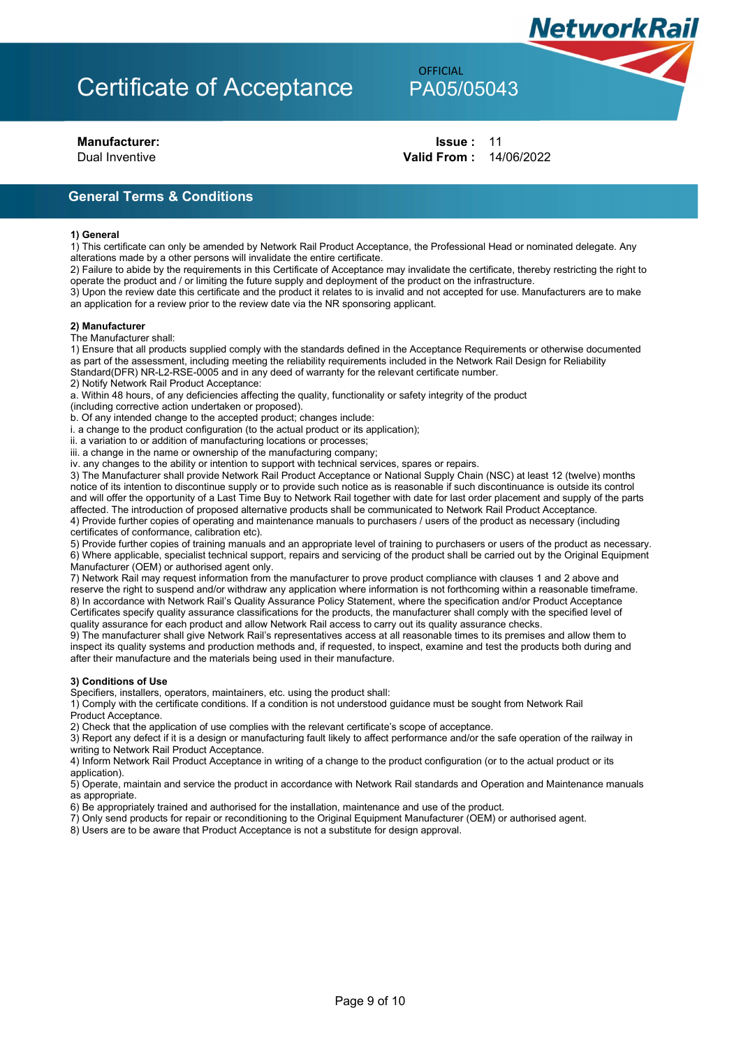## **OFFICIAL**

**NetworkRail** 

**Manufacturer: In the latter of the latter of the latter of the latter of the latter of the latter of the latter of the latter of the latter of the latter of the latter of the latter of the latter of the latter of the la** Dual Inventive Valid From : 14/06/2022

General Terms & Conditions

#### 1) General

1) This certificate can only be amended by Network Rail Product Acceptance, the Professional Head or nominated delegate. Any alterations made by a other persons will invalidate the entire certificate.

2) Failure to abide by the requirements in this Certificate of Acceptance may invalidate the certificate, thereby restricting the right to operate the product and / or limiting the future supply and deployment of the product on the infrastructure.

3) Upon the review date this certificate and the product it relates to is invalid and not accepted for use. Manufacturers are to make an application for a review prior to the review date via the NR sponsoring applicant.

#### 2) Manufacturer

The Manufacturer shall:

1) Ensure that all products supplied comply with the standards defined in the Acceptance Requirements or otherwise documented as part of the assessment, including meeting the reliability requirements included in the Network Rail Design for Reliability Standard(DFR) NR-L2-RSE-0005 and in any deed of warranty for the relevant certificate number.

2) Notify Network Rail Product Acceptance:

a. Within 48 hours, of any deficiencies affecting the quality, functionality or safety integrity of the product

(including corrective action undertaken or proposed).

b. Of any intended change to the accepted product; changes include:

i. a change to the product configuration (to the actual product or its application);

ii. a variation to or addition of manufacturing locations or processes;

iii. a change in the name or ownership of the manufacturing company;

iv. any changes to the ability or intention to support with technical services, spares or repairs.

3) The Manufacturer shall provide Network Rail Product Acceptance or National Supply Chain (NSC) at least 12 (twelve) months notice of its intention to discontinue supply or to provide such notice as is reasonable if such discontinuance is outside its control and will offer the opportunity of a Last Time Buy to Network Rail together with date for last order placement and supply of the parts affected. The introduction of proposed alternative products shall be communicated to Network Rail Product Acceptance. 4) Provide further copies of operating and maintenance manuals to purchasers / users of the product as necessary (including

certificates of conformance, calibration etc).

5) Provide further copies of training manuals and an appropriate level of training to purchasers or users of the product as necessary. 6) Where applicable, specialist technical support, repairs and servicing of the product shall be carried out by the Original Equipment Manufacturer (OEM) or authorised agent only.

7) Network Rail may request information from the manufacturer to prove product compliance with clauses 1 and 2 above and reserve the right to suspend and/or withdraw any application where information is not forthcoming within a reasonable timeframe. 8) In accordance with Network Rail's Quality Assurance Policy Statement, where the specification and/or Product Acceptance Certificates specify quality assurance classifications for the products, the manufacturer shall comply with the specified level of quality assurance for each product and allow Network Rail access to carry out its quality assurance checks.

9) The manufacturer shall give Network Rail's representatives access at all reasonable times to its premises and allow them to inspect its quality systems and production methods and, if requested, to inspect, examine and test the products both during and after their manufacture and the materials being used in their manufacture.

#### 3) Conditions of Use

Specifiers, installers, operators, maintainers, etc. using the product shall:

1) Comply with the certificate conditions. If a condition is not understood guidance must be sought from Network Rail Product Acceptance.

2) Check that the application of use complies with the relevant certificate's scope of acceptance.

3) Report any defect if it is a design or manufacturing fault likely to affect performance and/or the safe operation of the railway in writing to Network Rail Product Acceptance.

4) Inform Network Rail Product Acceptance in writing of a change to the product configuration (or to the actual product or its application).

5) Operate, maintain and service the product in accordance with Network Rail standards and Operation and Maintenance manuals as appropriate.

6) Be appropriately trained and authorised for the installation, maintenance and use of the product.

7) Only send products for repair or reconditioning to the Original Equipment Manufacturer (OEM) or authorised agent.

8) Users are to be aware that Product Acceptance is not a substitute for design approval.